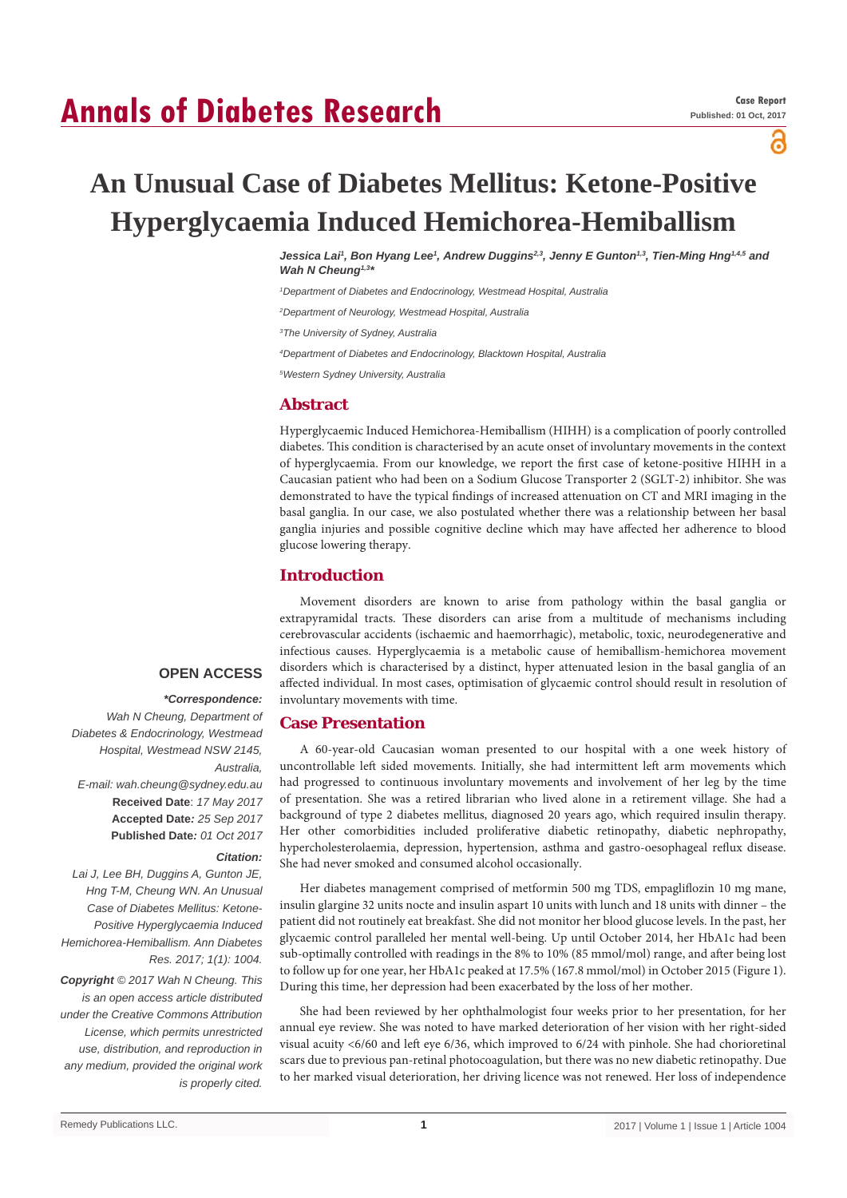# **Annals of Diabetes Research**

႕

# **An Unusual Case of Diabetes Mellitus: Ketone-Positive Hyperglycaemia Induced Hemichorea-Hemiballism**

*Jessica Lai1 , Bon Hyang Lee1 , Andrew Duggins2,3, Jenny E Gunton1,3, Tien-Ming Hng1,4,5 and Wah N Cheung1,3\**

*1 Department of Diabetes and Endocrinology, Westmead Hospital, Australia*

*2 Department of Neurology, Westmead Hospital, Australia*

*3 The University of Sydney, Australia*

*4 Department of Diabetes and Endocrinology, Blacktown Hospital, Australia*

*5 Western Sydney University, Australia*

### **Abstract**

Hyperglycaemic Induced Hemichorea-Hemiballism (HIHH) is a complication of poorly controlled diabetes. This condition is characterised by an acute onset of involuntary movements in the context of hyperglycaemia. From our knowledge, we report the first case of ketone-positive HIHH in a Caucasian patient who had been on a Sodium Glucose Transporter 2 (SGLT-2) inhibitor. She was demonstrated to have the typical findings of increased attenuation on CT and MRI imaging in the basal ganglia. In our case, we also postulated whether there was a relationship between her basal ganglia injuries and possible cognitive decline which may have affected her adherence to blood glucose lowering therapy.

# **Introduction**

Movement disorders are known to arise from pathology within the basal ganglia or extrapyramidal tracts. These disorders can arise from a multitude of mechanisms including cerebrovascular accidents (ischaemic and haemorrhagic), metabolic, toxic, neurodegenerative and infectious causes. Hyperglycaemia is a metabolic cause of hemiballism-hemichorea movement disorders which is characterised by a distinct, hyper attenuated lesion in the basal ganglia of an affected individual. In most cases, optimisation of glycaemic control should result in resolution of involuntary movements with time.

# **Case Presentation**

A 60-year-old Caucasian woman presented to our hospital with a one week history of uncontrollable left sided movements. Initially, she had intermittent left arm movements which had progressed to continuous involuntary movements and involvement of her leg by the time of presentation. She was a retired librarian who lived alone in a retirement village. She had a background of type 2 diabetes mellitus, diagnosed 20 years ago, which required insulin therapy. Her other comorbidities included proliferative diabetic retinopathy, diabetic nephropathy, hypercholesterolaemia, depression, hypertension, asthma and gastro-oesophageal reflux disease. She had never smoked and consumed alcohol occasionally.

Her diabetes management comprised of metformin 500 mg TDS, empagliflozin 10 mg mane, insulin glargine 32 units nocte and insulin aspart 10 units with lunch and 18 units with dinner – the patient did not routinely eat breakfast. She did not monitor her blood glucose levels. In the past, her glycaemic control paralleled her mental well-being. Up until October 2014, her HbA1c had been sub-optimally controlled with readings in the 8% to 10% (85 mmol/mol) range, and after being lost to follow up for one year, her HbA1c peaked at 17.5% (167.8 mmol/mol) in October 2015 (Figure 1). During this time, her depression had been exacerbated by the loss of her mother.

She had been reviewed by her ophthalmologist four weeks prior to her presentation, for her annual eye review. She was noted to have marked deterioration of her vision with her right-sided visual acuity <6/60 and left eye 6/36, which improved to 6/24 with pinhole. She had chorioretinal scars due to previous pan-retinal photocoagulation, but there was no new diabetic retinopathy. Due to her marked visual deterioration, her driving licence was not renewed. Her loss of independence

# **OPEN ACCESS**

#### *\*Correspondence:*

*Wah N Cheung, Department of Diabetes & Endocrinology, Westmead Hospital, Westmead NSW 2145, Australia, E-mail: wah.cheung@sydney.edu.au* **Received Date**: *17 May 2017* **Accepted Date***: 25 Sep 2017* **Published Date***: 01 Oct 2017*

#### *Citation:*

*Lai J, Lee BH, Duggins A, Gunton JE, Hng T-M, Cheung WN. An Unusual Case of Diabetes Mellitus: Ketone-Positive Hyperglycaemia Induced Hemichorea-Hemiballism. Ann Diabetes Res. 2017; 1(1): 1004.*

*Copyright © 2017 Wah N Cheung. This is an open access article distributed under the Creative Commons Attribution License, which permits unrestricted use, distribution, and reproduction in any medium, provided the original work is properly cited.*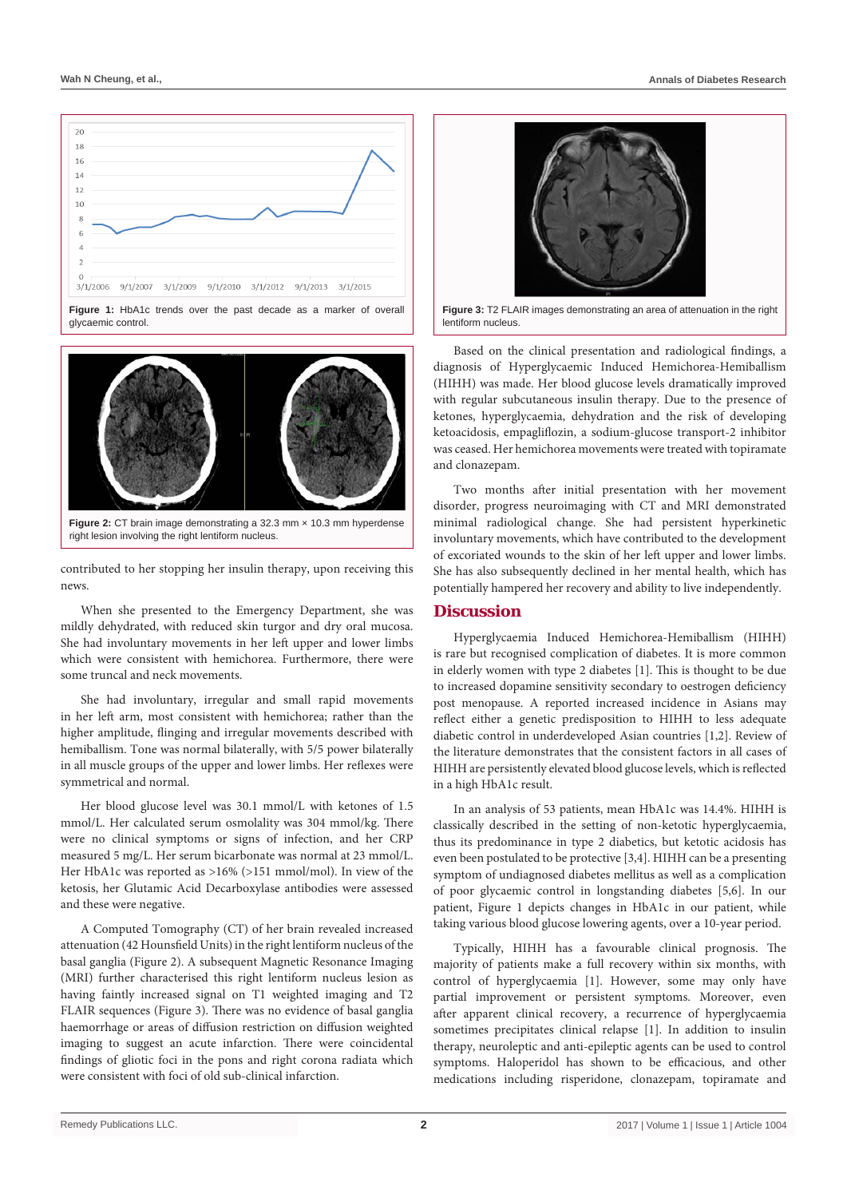

**Figure 1:** HbA1c trends over the past decade as a marker of overall glycaemic control.



right lesion involving the right lentiform nucleus.

contributed to her stopping her insulin therapy, upon receiving this news.

When she presented to the Emergency Department, she was mildly dehydrated, with reduced skin turgor and dry oral mucosa. She had involuntary movements in her left upper and lower limbs which were consistent with hemichorea. Furthermore, there were some truncal and neck movements.

She had involuntary, irregular and small rapid movements in her left arm, most consistent with hemichorea; rather than the higher amplitude, flinging and irregular movements described with hemiballism. Tone was normal bilaterally, with 5/5 power bilaterally in all muscle groups of the upper and lower limbs. Her reflexes were symmetrical and normal.

Her blood glucose level was 30.1 mmol/L with ketones of 1.5 mmol/L. Her calculated serum osmolality was 304 mmol/kg. There were no clinical symptoms or signs of infection, and her CRP measured 5 mg/L. Her serum bicarbonate was normal at 23 mmol/L. Her HbA1c was reported as >16% (>151 mmol/mol). In view of the ketosis, her Glutamic Acid Decarboxylase antibodies were assessed and these were negative.

A Computed Tomography (CT) of her brain revealed increased attenuation (42 Hounsfield Units) in the right lentiform nucleus of the basal ganglia (Figure 2). A subsequent Magnetic Resonance Imaging (MRI) further characterised this right lentiform nucleus lesion as having faintly increased signal on T1 weighted imaging and T2 FLAIR sequences (Figure 3). There was no evidence of basal ganglia haemorrhage or areas of diffusion restriction on diffusion weighted imaging to suggest an acute infarction. There were coincidental findings of gliotic foci in the pons and right corona radiata which were consistent with foci of old sub-clinical infarction.



**Figure 3:** T2 FLAIR images demonstrating an area of attenuation in the right lentiform nucleus.

Based on the clinical presentation and radiological findings, a diagnosis of Hyperglycaemic Induced Hemichorea-Hemiballism (HIHH) was made. Her blood glucose levels dramatically improved with regular subcutaneous insulin therapy. Due to the presence of ketones, hyperglycaemia, dehydration and the risk of developing ketoacidosis, empagliflozin, a sodium-glucose transport-2 inhibitor was ceased. Her hemichorea movements were treated with topiramate and clonazepam.

Two months after initial presentation with her movement disorder, progress neuroimaging with CT and MRI demonstrated minimal radiological change. She had persistent hyperkinetic involuntary movements, which have contributed to the development of excoriated wounds to the skin of her left upper and lower limbs. She has also subsequently declined in her mental health, which has potentially hampered her recovery and ability to live independently.

# **Discussion**

Hyperglycaemia Induced Hemichorea-Hemiballism (HIHH) is rare but recognised complication of diabetes. It is more common in elderly women with type 2 diabetes [1]. This is thought to be due to increased dopamine sensitivity secondary to oestrogen deficiency post menopause. A reported increased incidence in Asians may reflect either a genetic predisposition to HIHH to less adequate diabetic control in underdeveloped Asian countries [1,2]. Review of the literature demonstrates that the consistent factors in all cases of HIHH are persistently elevated blood glucose levels, which is reflected in a high HbA1c result.

In an analysis of 53 patients, mean HbA1c was 14.4%. HIHH is classically described in the setting of non-ketotic hyperglycaemia, thus its predominance in type 2 diabetics, but ketotic acidosis has even been postulated to be protective [3,4]. HIHH can be a presenting symptom of undiagnosed diabetes mellitus as well as a complication of poor glycaemic control in longstanding diabetes [5,6]. In our patient, Figure 1 depicts changes in HbA1c in our patient, while taking various blood glucose lowering agents, over a 10-year period.

Typically, HIHH has a favourable clinical prognosis. The majority of patients make a full recovery within six months, with control of hyperglycaemia [1]. However, some may only have partial improvement or persistent symptoms. Moreover, even after apparent clinical recovery, a recurrence of hyperglycaemia sometimes precipitates clinical relapse [1]. In addition to insulin therapy, neuroleptic and anti-epileptic agents can be used to control symptoms. Haloperidol has shown to be efficacious, and other medications including risperidone, clonazepam, topiramate and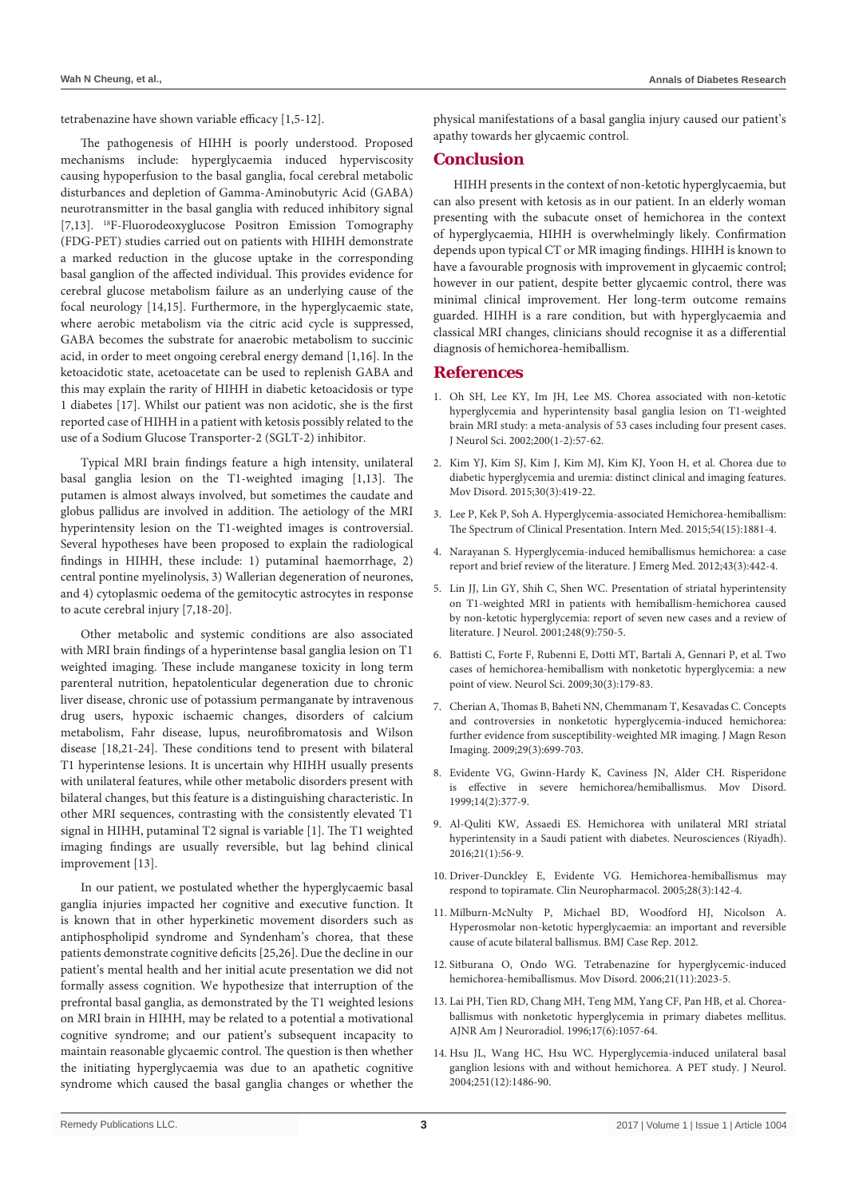tetrabenazine have shown variable efficacy [1,5-12].

The pathogenesis of HIHH is poorly understood. Proposed mechanisms include: hyperglycaemia induced hyperviscosity causing hypoperfusion to the basal ganglia, focal cerebral metabolic disturbances and depletion of Gamma-Aminobutyric Acid (GABA) neurotransmitter in the basal ganglia with reduced inhibitory signal [7,13]. 18F-Fluorodeoxyglucose Positron Emission Tomography (FDG-PET) studies carried out on patients with HIHH demonstrate a marked reduction in the glucose uptake in the corresponding basal ganglion of the affected individual. This provides evidence for cerebral glucose metabolism failure as an underlying cause of the focal neurology [14,15]. Furthermore, in the hyperglycaemic state, where aerobic metabolism via the citric acid cycle is suppressed, GABA becomes the substrate for anaerobic metabolism to succinic acid, in order to meet ongoing cerebral energy demand [1,16]. In the ketoacidotic state, acetoacetate can be used to replenish GABA and this may explain the rarity of HIHH in diabetic ketoacidosis or type 1 diabetes [17]. Whilst our patient was non acidotic, she is the first reported case of HIHH in a patient with ketosis possibly related to the use of a Sodium Glucose Transporter-2 (SGLT-2) inhibitor.

Typical MRI brain findings feature a high intensity, unilateral basal ganglia lesion on the T1-weighted imaging [1,13]. The putamen is almost always involved, but sometimes the caudate and globus pallidus are involved in addition. The aetiology of the MRI hyperintensity lesion on the T1-weighted images is controversial. Several hypotheses have been proposed to explain the radiological findings in HIHH, these include: 1) putaminal haemorrhage, 2) central pontine myelinolysis, 3) Wallerian degeneration of neurones, and 4) cytoplasmic oedema of the gemitocytic astrocytes in response to acute cerebral injury [7,18-20].

Other metabolic and systemic conditions are also associated with MRI brain findings of a hyperintense basal ganglia lesion on T1 weighted imaging. These include manganese toxicity in long term parenteral nutrition, hepatolenticular degeneration due to chronic liver disease, chronic use of potassium permanganate by intravenous drug users, hypoxic ischaemic changes, disorders of calcium metabolism, Fahr disease, lupus, neurofibromatosis and Wilson disease [18,21-24]. These conditions tend to present with bilateral T1 hyperintense lesions. It is uncertain why HIHH usually presents with unilateral features, while other metabolic disorders present with bilateral changes, but this feature is a distinguishing characteristic. In other MRI sequences, contrasting with the consistently elevated T1 signal in HIHH, putaminal T2 signal is variable [1]. The T1 weighted imaging findings are usually reversible, but lag behind clinical improvement [13].

In our patient, we postulated whether the hyperglycaemic basal ganglia injuries impacted her cognitive and executive function. It is known that in other hyperkinetic movement disorders such as antiphospholipid syndrome and Syndenham's chorea, that these patients demonstrate cognitive deficits [25,26]. Due the decline in our patient's mental health and her initial acute presentation we did not formally assess cognition. We hypothesize that interruption of the prefrontal basal ganglia, as demonstrated by the T1 weighted lesions on MRI brain in HIHH, may be related to a potential a motivational cognitive syndrome; and our patient's subsequent incapacity to maintain reasonable glycaemic control. The question is then whether the initiating hyperglycaemia was due to an apathetic cognitive syndrome which caused the basal ganglia changes or whether the physical manifestations of a basal ganglia injury caused our patient's apathy towards her glycaemic control.

### **Conclusion**

HIHH presents in the context of non-ketotic hyperglycaemia, but can also present with ketosis as in our patient. In an elderly woman presenting with the subacute onset of hemichorea in the context of hyperglycaemia, HIHH is overwhelmingly likely. Confirmation depends upon typical CT or MR imaging findings. HIHH is known to have a favourable prognosis with improvement in glycaemic control; however in our patient, despite better glycaemic control, there was minimal clinical improvement. Her long-term outcome remains guarded. HIHH is a rare condition, but with hyperglycaemia and classical MRI changes, clinicians should recognise it as a differential diagnosis of hemichorea-hemiballism.

# **References**

- 1. [Oh SH, Lee KY, Im JH, Lee MS. Chorea associated with non-ketotic](https://www.ncbi.nlm.nih.gov/pubmed/12127677)  [hyperglycemia and hyperintensity basal ganglia lesion on T1-weighted](https://www.ncbi.nlm.nih.gov/pubmed/12127677)  [brain MRI study: a meta-analysis of 53 cases including four present cases.](https://www.ncbi.nlm.nih.gov/pubmed/12127677)  [J Neurol Sci. 2002;200\(1-2\):57-62.](https://www.ncbi.nlm.nih.gov/pubmed/12127677)
- 2. [Kim YJ, Kim SJ, Kim J, Kim MJ, Kim KJ, Yoon H, et al. Chorea due to](https://www.ncbi.nlm.nih.gov/pubmed/25649292)  [diabetic hyperglycemia and uremia: distinct clinical and imaging features.](https://www.ncbi.nlm.nih.gov/pubmed/25649292)  [Mov Disord. 2015;30\(3\):419-22.](https://www.ncbi.nlm.nih.gov/pubmed/25649292)
- 3. [Lee P, Kek P, Soh A. Hyperglycemia-associated Hemichorea-hemiballism:](https://www.ncbi.nlm.nih.gov/pubmed/26234229)  [The Spectrum of Clinical Presentation. Intern Med. 2015;54\(15\):1881-4.](https://www.ncbi.nlm.nih.gov/pubmed/26234229)
- 4. [Narayanan S. Hyperglycemia-induced hemiballismus hemichorea: a case](https://www.ncbi.nlm.nih.gov/pubmed/20566257)  [report and brief review of the literature. J Emerg Med. 2012;43\(3\):442-4.](https://www.ncbi.nlm.nih.gov/pubmed/20566257)
- 5. [Lin JJ, Lin GY, Shih C, Shen WC. Presentation of striatal hyperintensity](https://www.ncbi.nlm.nih.gov/pubmed/11596778)  [on T1-weighted MRI in patients with hemiballism-hemichorea caused](https://www.ncbi.nlm.nih.gov/pubmed/11596778)  [by non-ketotic hyperglycemia: report of seven new cases and a review of](https://www.ncbi.nlm.nih.gov/pubmed/11596778)  [literature. J Neurol. 2001;248\(9\):750-5.](https://www.ncbi.nlm.nih.gov/pubmed/11596778)
- 6. Battisti C, Forte F, Rubenni E, Dotti MT, Bartali A, Gennari P, et al. Two cases of hemichorea-hemiballism with nonketotic hyperglycemia: a new point of view. Neurol Sci. 2009;30(3):179-83.
- 7. [Cherian A, Thomas B, Baheti NN, Chemmanam T, Kesavadas C. Concepts](https://www.ncbi.nlm.nih.gov/pubmed/19243044)  [and controversies in nonketotic hyperglycemia-induced hemichorea:](https://www.ncbi.nlm.nih.gov/pubmed/19243044)  [further evidence from susceptibility-weighted MR imaging. J Magn Reson](https://www.ncbi.nlm.nih.gov/pubmed/19243044)  [Imaging. 2009;29\(3\):699-703.](https://www.ncbi.nlm.nih.gov/pubmed/19243044)
- 8. [Evidente VG, Gwinn-Hardy K, Caviness JN, Alder CH. Risperidone](https://www.ncbi.nlm.nih.gov/pubmed/10091643)  [is effective in severe hemichorea/hemiballismus. Mov Disord.](https://www.ncbi.nlm.nih.gov/pubmed/10091643)  [1999;14\(2\):377-9.](https://www.ncbi.nlm.nih.gov/pubmed/10091643)
- 9. [Al-Quliti KW, Assaedi ES. Hemichorea with unilateral MRI striatal](https://www.ncbi.nlm.nih.gov/pmc/articles/PMC5224414/)  [hyperintensity in a Saudi patient with diabetes. Neurosciences \(Riyadh\).](https://www.ncbi.nlm.nih.gov/pmc/articles/PMC5224414/)  [2016;21\(1\):56-9.](https://www.ncbi.nlm.nih.gov/pmc/articles/PMC5224414/)
- 10. [Driver-Dunckley E, Evidente VG. Hemichorea-hemiballismus may](https://www.ncbi.nlm.nih.gov/pubmed/15965315)  [respond to topiramate. Clin Neuropharmacol. 2005;28\(3\):142-4.](https://www.ncbi.nlm.nih.gov/pubmed/15965315)
- 11. [Milburn-McNulty P, Michael BD, Woodford HJ, Nicolson A.](https://www.ncbi.nlm.nih.gov/pubmed/22729344)  [Hyperosmolar non-ketotic hyperglycaemia: an important and reversible](https://www.ncbi.nlm.nih.gov/pubmed/22729344)  [cause of acute bilateral ballismus. BMJ Case Rep. 2012.](https://www.ncbi.nlm.nih.gov/pubmed/22729344)
- 12. [Sitburana O, Ondo WG. Tetrabenazine for hyperglycemic-induced](https://www.ncbi.nlm.nih.gov/pubmed/16986158)  [hemichorea-hemiballismus. Mov Disord. 2006;21\(11\):2023-5.](https://www.ncbi.nlm.nih.gov/pubmed/16986158)
- 13. [Lai PH, Tien RD, Chang MH, Teng MM, Yang CF, Pan HB, et al. Chorea](http://www.ncbi.nlm.nih.gov/pubmed/8791916)[ballismus with nonketotic hyperglycemia in primary diabetes mellitus.](http://www.ncbi.nlm.nih.gov/pubmed/8791916)  [AJNR Am J Neuroradiol. 1996;17\(6\):1057-64.](http://www.ncbi.nlm.nih.gov/pubmed/8791916)
- 14. [Hsu JL, Wang HC, Hsu WC. Hyperglycemia-induced unilateral basal](http://www.ncbi.nlm.nih.gov/pubmed/15645348)  [ganglion lesions with and without hemichorea. A PET study. J Neurol.](http://www.ncbi.nlm.nih.gov/pubmed/15645348)  [2004;251\(12\):1486-90.](http://www.ncbi.nlm.nih.gov/pubmed/15645348)